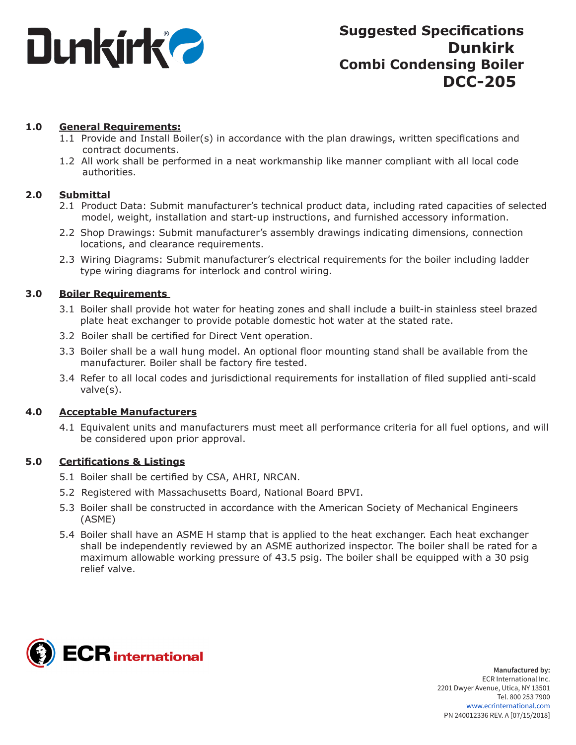

## **1.0 General Requirements:**

- 1.1 Provide and Install Boiler(s) in accordance with the plan drawings, written specifications and contract documents.
- 1.2 All work shall be performed in a neat workmanship like manner compliant with all local code authorities.

## **2.0 Submittal**

- 2.1 Product Data: Submit manufacturer's technical product data, including rated capacities of selected model, weight, installation and start-up instructions, and furnished accessory information.
- 2.2 Shop Drawings: Submit manufacturer's assembly drawings indicating dimensions, connection locations, and clearance requirements.
- 2.3 Wiring Diagrams: Submit manufacturer's electrical requirements for the boiler including ladder type wiring diagrams for interlock and control wiring.

## **3.0 Boiler Requirements**

- 3.1 Boiler shall provide hot water for heating zones and shall include a built-in stainless steel brazed plate heat exchanger to provide potable domestic hot water at the stated rate.
- 3.2 Boiler shall be certified for Direct Vent operation.
- 3.3 Boiler shall be a wall hung model. An optional floor mounting stand shall be available from the manufacturer. Boiler shall be factory fire tested.
- 3.4 Refer to all local codes and jurisdictional requirements for installation of filed supplied anti-scald valve(s).

## **4.0 Acceptable Manufacturers**

4.1 Equivalent units and manufacturers must meet all performance criteria for all fuel options, and will be considered upon prior approval.

## **5.0 Certifications & Listings**

- 5.1 Boiler shall be certified by CSA, AHRI, NRCAN.
- 5.2 Registered with Massachusetts Board, National Board BPVI.
- 5.3 Boiler shall be constructed in accordance with the American Society of Mechanical Engineers (ASME)
- 5.4 Boiler shall have an ASME H stamp that is applied to the heat exchanger. Each heat exchanger shall be independently reviewed by an ASME authorized inspector. The boiler shall be rated for a maximum allowable working pressure of 43.5 psig. The boiler shall be equipped with a 30 psig relief valve.

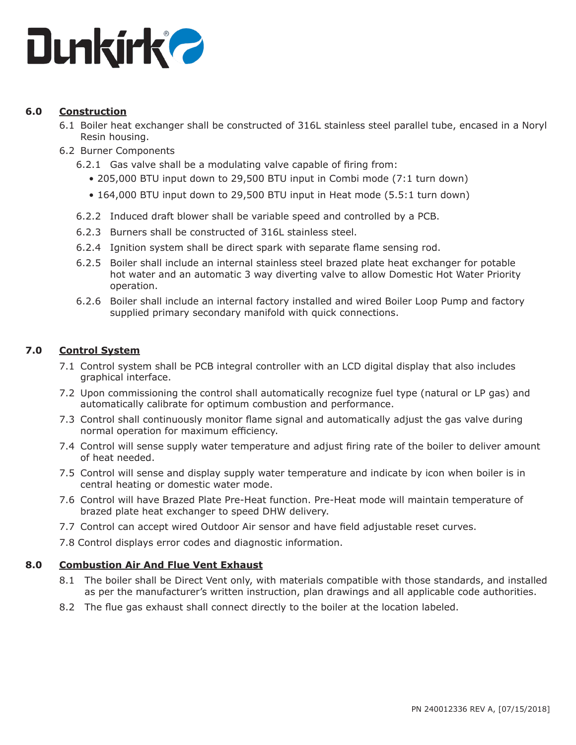

### **6.0 Construction**

- 6.1 Boiler heat exchanger shall be constructed of 316L stainless steel parallel tube, encased in a Noryl Resin housing.
- 6.2 Burner Components
	- 6.2.1 Gas valve shall be a modulating valve capable of firing from:
		- 205,000 BTU input down to 29,500 BTU input in Combi mode (7:1 turn down)
		- 164,000 BTU input down to 29,500 BTU input in Heat mode (5.5:1 turn down)
	- 6.2.2 Induced draft blower shall be variable speed and controlled by a PCB.
	- 6.2.3 Burners shall be constructed of 316L stainless steel.
	- 6.2.4 Ignition system shall be direct spark with separate flame sensing rod.
	- 6.2.5 Boiler shall include an internal stainless steel brazed plate heat exchanger for potable hot water and an automatic 3 way diverting valve to allow Domestic Hot Water Priority operation.
	- 6.2.6 Boiler shall include an internal factory installed and wired Boiler Loop Pump and factory supplied primary secondary manifold with quick connections.

#### **7.0 Control System**

- 7.1 Control system shall be PCB integral controller with an LCD digital display that also includes graphical interface.
- 7.2 Upon commissioning the control shall automatically recognize fuel type (natural or LP gas) and automatically calibrate for optimum combustion and performance.
- 7.3 Control shall continuously monitor flame signal and automatically adjust the gas valve during normal operation for maximum efficiency.
- 7.4 Control will sense supply water temperature and adjust firing rate of the boiler to deliver amount of heat needed.
- 7.5 Control will sense and display supply water temperature and indicate by icon when boiler is in central heating or domestic water mode.
- 7.6 Control will have Brazed Plate Pre-Heat function. Pre-Heat mode will maintain temperature of brazed plate heat exchanger to speed DHW delivery.
- 7.7 Control can accept wired Outdoor Air sensor and have field adjustable reset curves.
- 7.8 Control displays error codes and diagnostic information.

## **8.0 Combustion Air And Flue Vent Exhaust**

- 8.1 The boiler shall be Direct Vent only, with materials compatible with those standards, and installed as per the manufacturer's written instruction, plan drawings and all applicable code authorities.
- 8.2 The flue gas exhaust shall connect directly to the boiler at the location labeled.